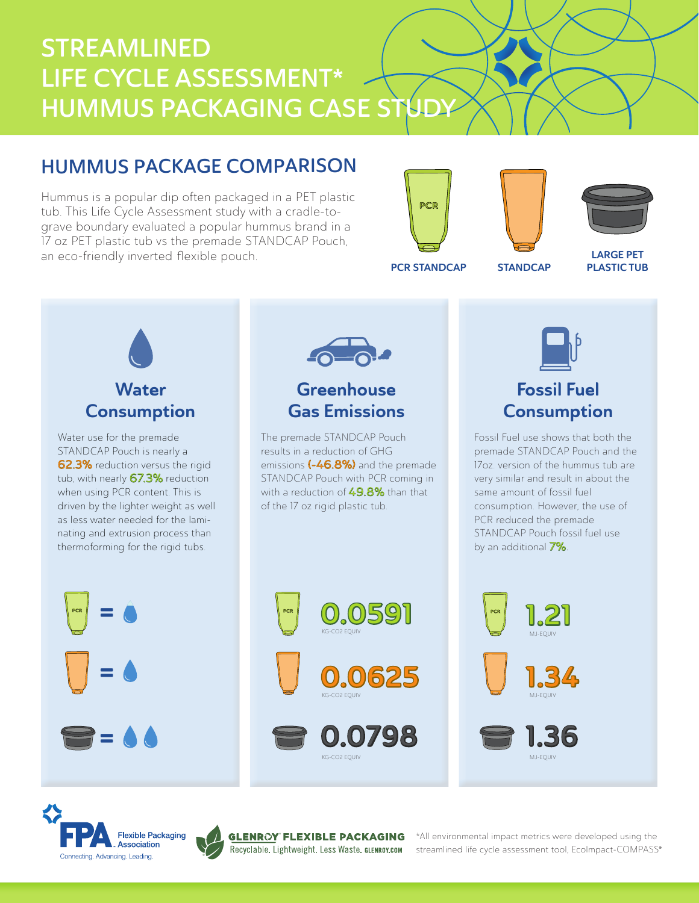# STREAMLINED LIFE CYCLE ASSESSMENT\* HUMMUS PACKAGING CASE STUD

## HUMMUS PACKAGE COMPARISON

Hummus is a popular dip often packaged in a PET plastic tub. This Life Cycle Assessment study with a cradle-tograve boundary evaluated a popular hummus brand in a 17 oz PET plastic tub vs the premade STANDCAP Pouch, an eco-friendly inverted flexible pouch.

®

Connecting, Advancing, Leading,





PCR STANDCAP STANDCAP

LARGE PET PLASTIC TUB